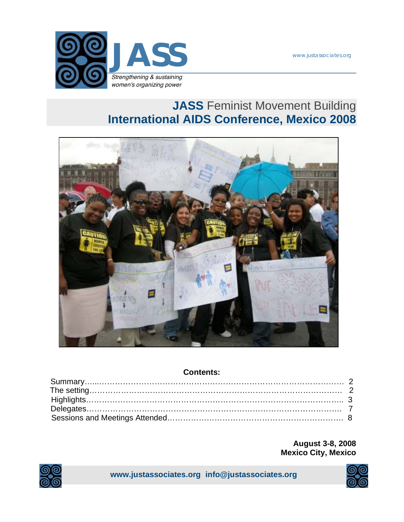www.justassociates.org



# **JASS** Feminist Movement Building **International AIDS Conference, Mexico 2008**



### **Contents:**

**August 3-8, 2008 Mexico City, Mexico** 



**www.justassociates.org info@justassociates.org** 

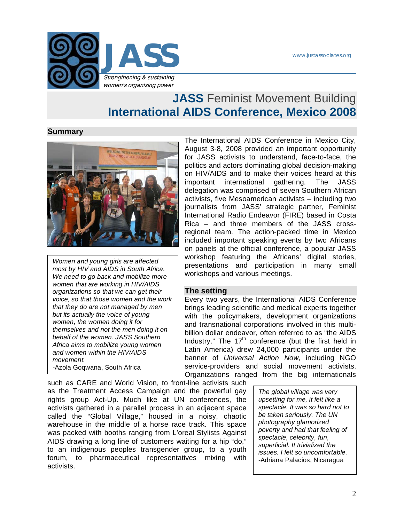

## **JASS** Feminist Movement Building **International AIDS Conference, Mexico 2008**

#### **Summary**



*Women and young girls are affected most by HIV and AIDS in South Africa. We need to go back and mobilize more women that are working in HIV/AIDS organizations so that we can get their voice, so that those women and the work that they do are not managed by men but its actually the voice of young women, the women doing it for themselves and not the men doing it on behalf of the women. JASS Southern Africa aims to mobilize young women and women within the HIV/AIDS movement. -*Azola Goqwana, South Africa

The International AIDS Conference in Mexico City, August 3-8, 2008 provided an important opportunity for JASS activists to understand, face-to-face, the politics and actors dominating global decision-making on HIV/AIDS and to make their voices heard at this important international gathering. The JASS delegation was comprised of seven Southern African activists, five Mesoamerican activists – including two journalists from JASS' strategic partner, Feminist International Radio Endeavor (FIRE) based in Costa Rica – and three members of the JASS crossregional team. The action-packed time in Mexico included important speaking events by two Africans on panels at the official conference, a popular JASS workshop featuring the Africans' digital stories, presentations and participation in many small workshops and various meetings.

#### **The setting**

Every two years, the International AIDS Conference brings leading scientific and medical experts together with the policymakers, development organizations and transnational corporations involved in this multibillion dollar endeavor, often referred to as "the AIDS Industry." The  $17<sup>th</sup>$  conference (but the first held in Latin America) drew 24,000 participants under the banner of *Universal Action Now*, including NGO service-providers and social movement activists. Organizations ranged from the big internationals

such as CARE and World Vision, to front-line activists such as the Treatment Access Campaign and the powerful gay rights group Act-Up. Much like at UN conferences, the activists gathered in a parallel process in an adjacent space called the "Global Village," housed in a noisy, chaotic warehouse in the middle of a horse race track. This space was packed with booths ranging from L'oreal Stylists Against AIDS drawing a long line of customers waiting for a hip "do," to an indigenous peoples transgender group, to a youth forum, to pharmaceutical representatives mixing with activists.

*The global village was very upsetting for me, it felt like a spectacle. It was so hard not to be taken seriously. The UN photography glamorized poverty and had that feeling of spectacle, celebrity, fun, superficial. It trivialized the issues. I felt so uncomfortable. -*Adriana Palacios, Nicaragua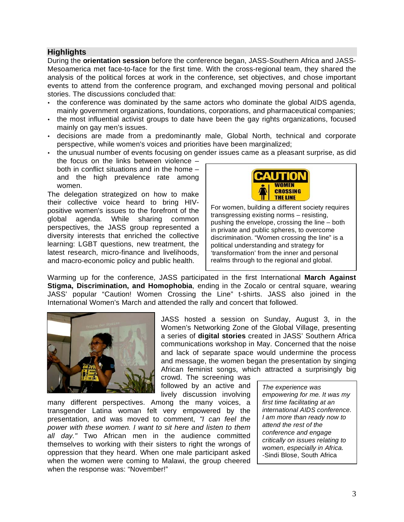#### **Highlights**

During the **orientation session** before the conference began, JASS-Southern Africa and JASS-Mesoamerica met face-to-face for the first time. With the cross-regional team, they shared the analysis of the political forces at work in the conference, set objectives, and chose important events to attend from the conference program, and exchanged moving personal and political stories. The discussions concluded that:

- the conference was dominated by the same actors who dominate the global AIDS agenda, mainly government organizations, foundations, corporations, and pharmaceutical companies;
- the most influential activist groups to date have been the gay rights organizations, focused mainly on gay men's issues.
- decisions are made from a predominantly male, Global North, technical and corporate perspective, while women's voices and priorities have been marginalized;
- the unusual number of events focusing on gender issues came as a pleasant surprise, as did the focus on the links between violence – both in conflict situations and in the home – and the high prevalence rate among women.

The delegation strategized on how to make their collective voice heard to bring HIVpositive women's issues to the forefront of the global agenda. While sharing common perspectives, the JASS group represented a diversity interests that enriched the collective learning: LGBT questions, new treatment, the latest research, micro-finance and livelihoods, and macro-economic policy and public health.



For women, building a different society requires transgressing existing norms – resisting, pushing the envelope, crossing the line – both in private and public spheres, to overcome discrimination. "Women crossing the line" is a political understanding and strategy for 'transformation' from the inner and personal realms through to the regional and global.

Warming up for the conference, JASS participated in the first International **March Against Stigma, Discrimination, and Homophobia**, ending in the Zocalo or central square, wearing JASS' popular "Caution! Women Crossing the Line" t-shirts. JASS also joined in the International Women's March and attended the rally and concert that followed.



JASS hosted a session on Sunday, August 3, in the Women's Networking Zone of the Global Village, presenting a series of **digital stories** created in JASS' Southern Africa communications workshop in May. Concerned that the noise and lack of separate space would undermine the process and message, the women began the presentation by singing African feminist songs, which attracted a surprisingly big

crowd. The screening was followed by an active and lively discussion involving

many different perspectives. Among the many voices, a transgender Latina woman felt very empowered by the presentation, and was moved to comment, *"I can feel the power with these women. I want to sit here and listen to them all day."* Two African men in the audience committed themselves to working with their sisters to right the wrongs of oppression that they heard. When one male participant asked when the women were coming to Malawi, the group cheered when the response was: "November!"

*The experience was empowering for me. It was my first time facilitating at an international AIDS conference. I am more than ready now to attend the rest of the conference and engage critically on issues relating to women, especially in Africa. -*Sindi Blose, South Africa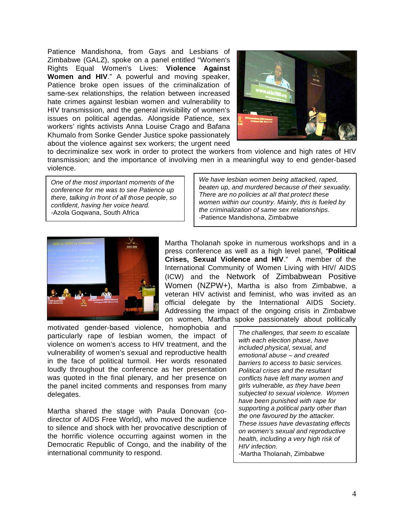Patience Mandishona, from Gays and Lesbians of Zimbabwe (GALZ), spoke on a panel entitled "Women's Rights Equal Women's Lives: **Violence Against Women and HIV**." A powerful and moving speaker, Patience broke open issues of the criminalization of same-sex relationships, the relation between increased hate crimes against lesbian women and vulnerability to HIV transmission, and the general invisibility of women's issues on political agendas. Alongside Patience, sex workers' rights activists Anna Louise Crago and Bafana Khumalo from Sonke Gender Justice spoke passionately about the violence against sex workers; the urgent need



to decriminalize sex work in order to protect the workers from violence and high rates of HIV transmission; and the importance of involving men in a meaningful way to end gender-based violence.

*One of the most important moments of the conference for me was to see Patience up there, talking in front of all those people, so confident, having her voice heard. -*Azola Goqwana, South Africa

*We have lesbian women being attacked, raped, beaten up, and murdered because of their sexuality. There are no policies at all that protect these women within our country. Mainly, this is fueled by the criminalization of same sex relationships.*  -Patience Mandishona, Zimbabwe



Martha Tholanah spoke in numerous workshops and in a press conference as well as a high level panel, "**Political Crises, Sexual Violence and HIV**." A member of the International Community of Women Living with HIV/ AIDS (ICW) and the Network of Zimbabwean Positive Women (NZPW+), Martha is also from Zimbabwe, a veteran HIV activist and feminist, who was invited as an official delegate by the International AIDS Society. Addressing the impact of the ongoing crisis in Zimbabwe on women, Martha spoke passionately about politically

motivated gender-based violence, homophobia and particularly rape of lesbian women, the impact of violence on women's access to HIV treatment, and the vulnerability of women's sexual and reproductive health in the face of political turmoil. Her words resonated loudly throughout the conference as her presentation was quoted in the final plenary, and her presence on the panel incited comments and responses from many delegates.

Martha shared the stage with Paula Donovan (codirector of AIDS Free World), who moved the audience to silence and shock with her provocative description of the horrific violence occurring against women in the Democratic Republic of Congo, and the inability of the international community to respond.

*The challenges, that seem to escalate with each election phase, have included physical, sexual, and emotional abuse – and created barriers to access to basic services. Political crises and the resultant conflicts have left many women and girls vulnerable, as they have been subjected to sexual violence. Women have been punished with rape for supporting a political party other than the one favoured by the attacker. These issues have devastating effects on women's sexual and reproductive health, including a very high risk of HIV infection. -*Martha Tholanah, Zimbabwe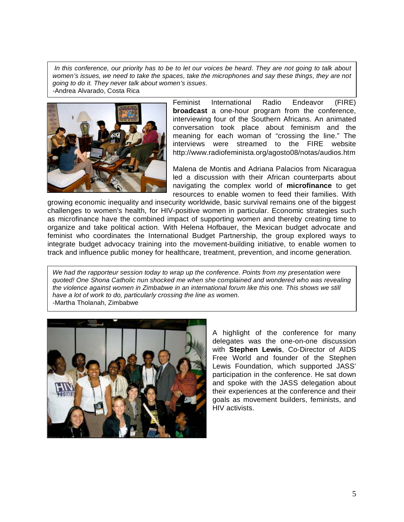*In this conference, our priority has to be to let our voices be heard. They are not going to talk about women's issues, we need to take the spaces, take the microphones and say these things, they are not going to do it. They never talk about women's issues. -*Andrea Alvarado, Costa Rica



Feminist International Radio Endeavor (FIRE) **broadcast** a one-hour program from the conference, interviewing four of the Southern Africans. An animated conversation took place about feminism and the meaning for each woman of "crossing the line." The interviews were streamed to the FIRE website http://www.radiofeminista.org/agosto08/notas/audios.htm

Malena de Montis and Adriana Palacios from Nicaragua led a discussion with their African counterparts about navigating the complex world of **microfinance** to get resources to enable women to feed their families. With

growing economic inequality and insecurity worldwide, basic survival remains one of the biggest challenges to women's health, for HIV-positive women in particular. Economic strategies such as microfinance have the combined impact of supporting women and thereby creating time to organize and take political action. With Helena Hofbauer, the Mexican budget advocate and feminist who coordinates the International Budget Partnership, the group explored ways to integrate budget advocacy training into the movement-building initiative, to enable women to track and influence public money for healthcare, treatment, prevention, and income generation.

*We had the rapporteur session today to wrap up the conference. Points from my presentation were quoted! One Shona Catholic nun shocked me when she complained and wondered who was revealing the violence against women in Zimbabwe in an international forum like this one. This shows we still have a lot of work to do, particularly crossing the line as women. -*Martha Tholanah, Zimbabwe



A highlight of the conference for many delegates was the one-on-one discussion with **Stephen Lewis**, Co-Director of AIDS Free World and founder of the Stephen Lewis Foundation, which supported JASS' participation in the conference. He sat down and spoke with the JASS delegation about their experiences at the conference and their goals as movement builders, feminists, and HIV activists.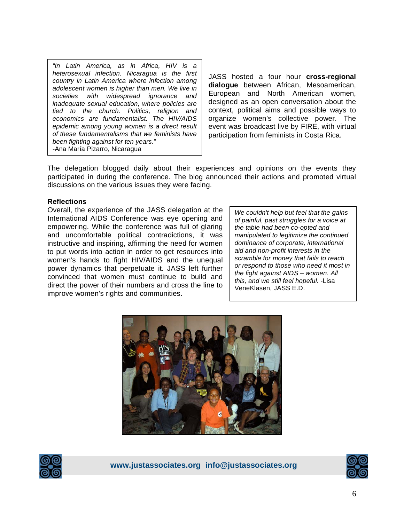*"In Latin America, as in Africa, HIV is a heterosexual infection. Nicaragua is the first country in Latin America where infection among adolescent women is higher than men. We live in societies with widespread ignorance and inadequate sexual education, where policies are tied to the church. Politics, religion and economics are fundamentalist. The HIV/AIDS epidemic among young women is a direct result of these fundamentalisms that we feminists have been fighting against for ten years." -*Ana María Pizarro, Nicaragua

JASS hosted a four hour **cross-regional dialogue** between African, Mesoamerican, European and North American women, designed as an open conversation about the context, political aims and possible ways to organize women's collective power. The event was broadcast live by FIRE, with virtual participation from feminists in Costa Rica.

The delegation blogged daily about their experiences and opinions on the events they participated in during the conference. The blog announced their actions and promoted virtual discussions on the various issues they were facing.

#### **Reflections**

Overall, the experience of the JASS delegation at the International AIDS Conference was eye opening and empowering. While the conference was full of glaring and uncomfortable political contradictions, it was instructive and inspiring, affirming the need for women to put words into action in order to get resources into women's hands to fight HIV/AIDS and the unequal power dynamics that perpetuate it. JASS left further convinced that women must continue to build and direct the power of their numbers and cross the line to improve women's rights and communities.

*We couldn't help but feel that the gains of painful, past struggles for a voice at the table had been co-opted and manipulated to legitimize the continued dominance of corporate, international aid and non-profit interests in the scramble for money that fails to reach or respond to those who need it most in the fight against AIDS – women. All this, and we still feel hopeful.* -Lisa VeneKlasen, JASS E.D.





**www.justassociates.org info@justassociates.org** 

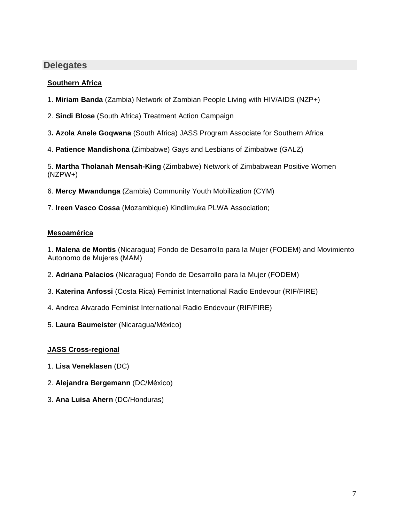## **Delegates**

### **Southern Africa**

- 1. **Miriam Banda** (Zambia) Network of Zambian People Living with HIV/AIDS (NZP+)
- 2. **Sindi Blose** (South Africa) Treatment Action Campaign
- 3**. Azola Anele Goqwana** (South Africa) JASS Program Associate for Southern Africa
- 4. **Patience Mandishona** (Zimbabwe) Gays and Lesbians of Zimbabwe (GALZ)

5. **Martha Tholanah Mensah-King** (Zimbabwe) Network of Zimbabwean Positive Women (NZPW+)

- 6. **Mercy Mwandunga** (Zambia) Community Youth Mobilization (CYM)
- 7. **Ireen Vasco Cossa** (Mozambique) Kindlimuka PLWA Association;

### **Mesoamérica**

1. **Malena de Montis** (Nicaragua) Fondo de Desarrollo para la Mujer (FODEM) and Movimiento Autonomo de Mujeres (MAM)

- 2. **Adriana Palacios** (Nicaragua) Fondo de Desarrollo para la Mujer (FODEM)
- 3. **Katerina Anfossi** (Costa Rica) Feminist International Radio Endevour (RIF/FIRE)
- 4. Andrea Alvarado Feminist International Radio Endevour (RIF/FIRE)
- 5. **Laura Baumeister** (Nicaragua/México)

## **JASS Cross-regional**

- 1. **Lisa Veneklasen** (DC)
- 2. **Alejandra Bergemann** (DC/México)
- 3. **Ana Luisa Ahern** (DC/Honduras)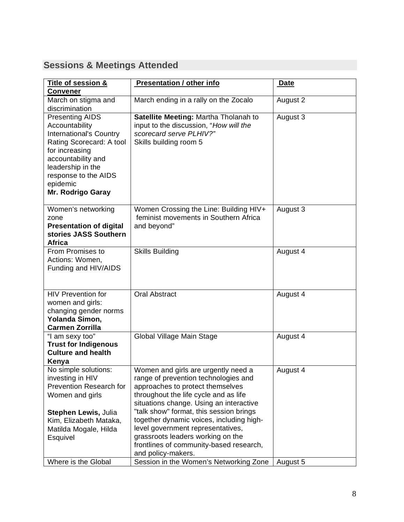## **Sessions & Meetings Attended**

| Title of session &<br><b>Convener</b>                                                                                                                                                                                        | <b>Presentation / other info</b>                                                                                                                                                                                               | <b>Date</b> |
|------------------------------------------------------------------------------------------------------------------------------------------------------------------------------------------------------------------------------|--------------------------------------------------------------------------------------------------------------------------------------------------------------------------------------------------------------------------------|-------------|
| March on stigma and<br>discrimination                                                                                                                                                                                        | March ending in a rally on the Zocalo                                                                                                                                                                                          | August 2    |
| <b>Presenting AIDS</b><br>Accountability<br><b>International's Country</b><br>Rating Scorecard: A tool<br>for increasing<br>accountability and<br>leadership in the<br>response to the AIDS<br>epidemic<br>Mr. Rodrigo Garay | Satellite Meeting: Martha Tholanah to<br>input to the discussion, "How will the<br>scorecard serve PLHIV?"<br>Skills building room 5                                                                                           | August 3    |
| Women's networking<br>zone<br><b>Presentation of digital</b><br>stories JASS Southern<br><b>Africa</b>                                                                                                                       | Women Crossing the Line: Building HIV+<br>feminist movements in Southern Africa<br>and beyond"                                                                                                                                 | August 3    |
| From Promises to<br>Actions: Women,<br>Funding and HIV/AIDS                                                                                                                                                                  | <b>Skills Building</b>                                                                                                                                                                                                         | August 4    |
| <b>HIV Prevention for</b><br>women and girls:<br>changing gender norms<br>Yolanda Simon,<br><b>Carmen Zorrilla</b>                                                                                                           | <b>Oral Abstract</b>                                                                                                                                                                                                           | August 4    |
| "I am sexy too"<br><b>Trust for Indigenous</b><br><b>Culture and health</b><br>Kenya                                                                                                                                         | Global Village Main Stage                                                                                                                                                                                                      | August 4    |
| No simple solutions:<br>investing in HIV<br>Prevention Research for<br>Women and girls                                                                                                                                       | Women and girls are urgently need a<br>range of prevention technologies and<br>approaches to protect themselves<br>throughout the life cycle and as life<br>situations change. Using an interactive                            | August 4    |
| Stephen Lewis, Julia<br>Kim, Elizabeth Mataka,<br>Matilda Mogale, Hilda<br>Esquivel                                                                                                                                          | "talk show" format, this session brings<br>together dynamic voices, including high-<br>level government representatives,<br>grassroots leaders working on the<br>frontlines of community-based research,<br>and policy-makers. |             |
| Where is the Global                                                                                                                                                                                                          | Session in the Women's Networking Zone                                                                                                                                                                                         | August 5    |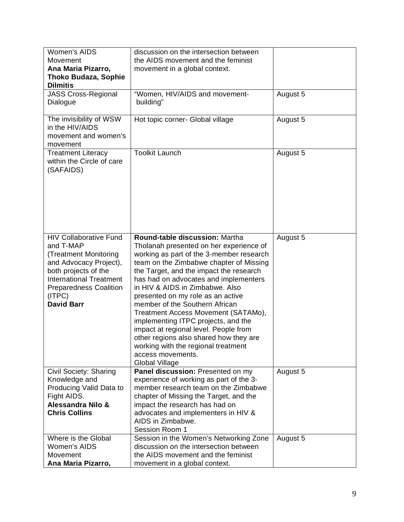| Women's AIDS<br>Movement<br>Ana Maria Pizarro,<br>Thoko Budaza, Sophie<br><b>Dilmitis</b>                                                                                                                               | discussion on the intersection between<br>the AIDS movement and the feminist<br>movement in a global context.                                                                                                                                                                                                                                                                                                                                                                                                                                                                                                 |          |
|-------------------------------------------------------------------------------------------------------------------------------------------------------------------------------------------------------------------------|---------------------------------------------------------------------------------------------------------------------------------------------------------------------------------------------------------------------------------------------------------------------------------------------------------------------------------------------------------------------------------------------------------------------------------------------------------------------------------------------------------------------------------------------------------------------------------------------------------------|----------|
| <b>JASS Cross-Regional</b><br>Dialogue                                                                                                                                                                                  | "Women, HIV/AIDS and movement-<br>building"                                                                                                                                                                                                                                                                                                                                                                                                                                                                                                                                                                   | August 5 |
| The invisibility of WSW<br>in the HIV/AIDS<br>movement and women's<br>movement                                                                                                                                          | Hot topic corner- Global village                                                                                                                                                                                                                                                                                                                                                                                                                                                                                                                                                                              | August 5 |
| <b>Treatment Literacy</b><br>within the Circle of care<br>(SAFAIDS)                                                                                                                                                     | <b>Toolkit Launch</b>                                                                                                                                                                                                                                                                                                                                                                                                                                                                                                                                                                                         | August 5 |
| <b>HIV Collaborative Fund</b><br>and T-MAP<br>(Treatment Monitoring<br>and Advocacy Project),<br>both projects of the<br><b>International Treatment</b><br><b>Preparedness Coalition</b><br>(ITPC)<br><b>David Barr</b> | Round-table discussion: Martha<br>Tholanah presented on her experience of<br>working as part of the 3-member research<br>team on the Zimbabwe chapter of Missing<br>the Target, and the impact the research<br>has had on advocates and implementers<br>in HIV & AIDS in Zimbabwe. Also<br>presented on my role as an active<br>member of the Southern African<br>Treatment Access Movement (SATAMo),<br>implementing ITPC projects, and the<br>impact at regional level. People from<br>other regions also shared how they are<br>working with the regional treatment<br>access movements.<br>Global Village | August 5 |
| Civil Society: Sharing<br>Knowledge and<br>Producing Valid Data to<br>Fight AIDS.<br>Alessandra Nilo &<br><b>Chris Collins</b>                                                                                          | Panel discussion: Presented on my<br>experience of working as part of the 3-<br>member research team on the Zimbabwe<br>chapter of Missing the Target, and the<br>impact the research has had on<br>advocates and implementers in HIV &<br>AIDS in Zimbabwe.<br>Session Room 1                                                                                                                                                                                                                                                                                                                                | August 5 |
| Where is the Global<br>Women's AIDS<br>Movement<br>Ana Maria Pizarro,                                                                                                                                                   | Session in the Women's Networking Zone<br>discussion on the intersection between<br>the AIDS movement and the feminist<br>movement in a global context.                                                                                                                                                                                                                                                                                                                                                                                                                                                       | August 5 |